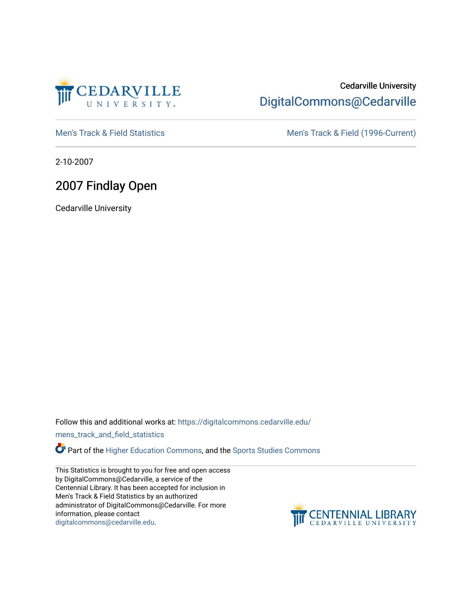

## Cedarville University [DigitalCommons@Cedarville](https://digitalcommons.cedarville.edu/)

[Men's Track & Field Statistics](https://digitalcommons.cedarville.edu/mens_track_and_field_statistics) [Men's Track & Field \(1996-Current\)](https://digitalcommons.cedarville.edu/mens_track_and_field) 

2-10-2007

## 2007 Findlay Open

Cedarville University

Follow this and additional works at: [https://digitalcommons.cedarville.edu/](https://digitalcommons.cedarville.edu/mens_track_and_field_statistics?utm_source=digitalcommons.cedarville.edu%2Fmens_track_and_field_statistics%2F177&utm_medium=PDF&utm_campaign=PDFCoverPages)

[mens\\_track\\_and\\_field\\_statistics](https://digitalcommons.cedarville.edu/mens_track_and_field_statistics?utm_source=digitalcommons.cedarville.edu%2Fmens_track_and_field_statistics%2F177&utm_medium=PDF&utm_campaign=PDFCoverPages)

**Part of the [Higher Education Commons,](http://network.bepress.com/hgg/discipline/1245?utm_source=digitalcommons.cedarville.edu%2Fmens_track_and_field_statistics%2F177&utm_medium=PDF&utm_campaign=PDFCoverPages) and the Sports Studies Commons** 

This Statistics is brought to you for free and open access by DigitalCommons@Cedarville, a service of the Centennial Library. It has been accepted for inclusion in Men's Track & Field Statistics by an authorized administrator of DigitalCommons@Cedarville. For more information, please contact [digitalcommons@cedarville.edu](mailto:digitalcommons@cedarville.edu).

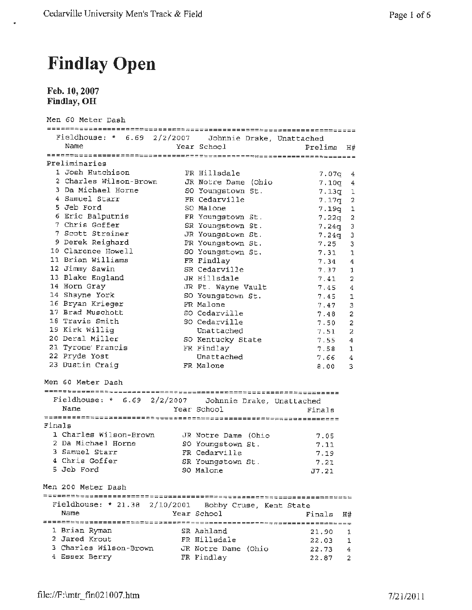## **Findlay Open**

**Feb.10,2007 Findlay, OH** 

|        | Men 60 Meter Dash                                       |                                      |         |                |
|--------|---------------------------------------------------------|--------------------------------------|---------|----------------|
|        | Fieldhouse: * 6.69 2/2/2007   Johnnie Drake, Unattached |                                      |         |                |
|        | Name                                                    | Year School                          | Prelims | Η#             |
|        |                                                         |                                      |         |                |
|        | Preliminaries                                           |                                      |         |                |
|        | 1 Josh Hutchison                                        | FR Hillsdale                         | 7.07q   | 4              |
|        | 2 Charles Wilson-Brown                                  | JR Notre Dame (Ohio                  | 7.10q   | 4              |
|        | 3 Da Michael Horne                                      | SO Youngstown St.                    | 7.13q   | ı              |
|        | 4 Samuel Starr                                          | FR Cedarville                        | 7.17q   | 2              |
|        | 5 Jeb Ford                                              | SO Malone                            | 7.19q   | 1              |
|        | 6 Eric Balputnis                                        | FR Youngstown St.                    | 7.22g   | $\overline{a}$ |
|        | 7 Chris Goffer                                          | SR Youngstown St.                    | 7.24q   | Э              |
|        | 7 Scott Streiner                                        | JR Youngstown St.                    | 7.24q   | 3              |
|        | 9 Derek Reighard                                        | FR Youngstown St.                    | 7.25    | 3              |
|        | 10 Clarence Howell                                      | SO Youngstown St.                    | 7.31    | 1              |
|        | 11 Brian Williams                                       | FR Findlay                           | 7.34    | 4              |
|        | 12 Jimmy Sawin                                          | SR Cedarville                        | 7.37    | 1              |
|        | 13 Blake England                                        | JR Hillsdale                         | 7.41    | 2              |
|        | 14 Horn Gray                                            | JR Ft. Wayne Vault                   | 7,45    | 4              |
|        | 14 Shayne York                                          | SO Youngstown St.                    | 7.45    | 1              |
|        | 16 Bryan Krieger                                        | FR Malone                            | 7.47    | 3              |
|        | 17 Brad Muschott                                        | SO Cedarville                        | 7.48    | $\overline{a}$ |
|        | 18 Travis Smith                                         | SO Cedarville                        | 7.50    | $\overline{a}$ |
|        | 19 Kirk Willig                                          | Unattached                           | 7.51    | 2              |
|        | 20 Deral Miller                                         | SO Kentucky State                    | 7.55    | 4              |
|        | 21 Tyrone Francis                                       | FR Findlay                           | 7.58    | 1              |
|        | 22 Pryde Yost                                           | Unattached                           | 7.66    | 4              |
|        | 23 Dustin Craig                                         | FR Malone                            | 8.00    | 3              |
|        | Men 60 Meter Dash                                       |                                      |         |                |
|        | Fieldhouse: * 6.69                                      | 2/2/2007   Johnnie Drake, Unattached |         |                |
|        | Name                                                    | Year School                          | Finals  |                |
|        |                                                         |                                      |         |                |
| Finals |                                                         |                                      |         |                |
|        | 1 Charles Wilson-Brown                                  | JR Notre Dame (Ohio                  | 7.05    |                |
|        | 2 Da Michael Horne                                      | SO Youngstown St.                    | 7.11    |                |
|        | 3 Samuel Starr                                          | FR Cedarville                        | 7.19    |                |
|        | 4 Chris Goffer                                          | SR Youngstown St.                    | 7.21    |                |
|        | 5 Jeb Ford                                              | SO Malone                            | J7.21   |                |
|        |                                                         |                                      |         |                |
|        | Men 200 Meter Dash                                      |                                      |         |                |
|        | Fieldhouse: * 21.38 2/10/2001 Bobby Cruse, Kent State   |                                      |         |                |
|        | Name                                                    | Year School                          | Finals  | Н#             |
|        |                                                         |                                      |         |                |
|        | 1 Brian Ryman                                           | SR Ashland                           | 21.90   | 1              |
|        | 2 Jared Krout                                           | FR Hillsdale                         | 22.03   | 1              |
|        | 3 Charles Wilson-Brown                                  | JR Notre Dame (Ohio                  | 22.73   | 4              |
|        | 4 Essex Berry                                           | FR Findlay                           | 22.87   | 2              |
|        |                                                         |                                      |         |                |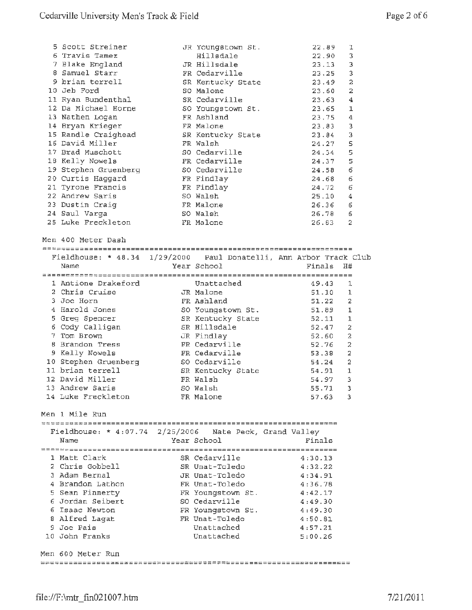| 5 Scott Streiner<br>6 Travis Tamez<br>7 Blake England<br>8 Samuel Starr<br>9 brian terrell<br>10 Jeb Ford | JR Youngstown St.<br>Hillsdale<br>JR Hillsdale<br>FR Cedarville<br>SR Kentucky State<br>SO Malone | 22.89<br>22.90<br>23.13<br>23.25<br>23.49<br>23.60 | 1<br>3<br>3<br>3<br>$\overline{a}$<br>2 |
|-----------------------------------------------------------------------------------------------------------|---------------------------------------------------------------------------------------------------|----------------------------------------------------|-----------------------------------------|
| 11 Ryan Bundenthal                                                                                        | SR Cedarville                                                                                     | 23.63                                              | 4                                       |
| 12 Da Michael Horne                                                                                       | SO Youngstown St.                                                                                 | 23.65                                              | 1                                       |
| 13 Nathen Logan                                                                                           | FR Ashland                                                                                        | 23.75                                              | 4                                       |
| 14 Bryan Krieger                                                                                          | FR Malone                                                                                         | 23.83                                              | 3                                       |
| 15 Randle Craighead                                                                                       | SR Kentucky State                                                                                 | 23.84                                              | 3                                       |
| 16 David Miller                                                                                           | FR Walsh                                                                                          | 24.27                                              | 5                                       |
| 17 Brad Muschott                                                                                          | SO Cedarville                                                                                     | 24.34                                              | 5                                       |
| 18 Kelly Nowels                                                                                           | FR Cedarville                                                                                     | 24.37                                              | 5                                       |
| 19 Stephen Gruenberg                                                                                      | SO Cedarville                                                                                     | 24.58                                              | $\epsilon$                              |
| 20 Curtis Haggard                                                                                         | FR Findlay                                                                                        | 24.68                                              | 6                                       |
| 21 Tyrone Francis                                                                                         | FR Findlay                                                                                        | 24.72                                              | 6                                       |
| 22 Andrew Saris                                                                                           | SO Walsh                                                                                          | 25.10                                              | 4                                       |
| 23 Dustin Craiq                                                                                           | FR Malone                                                                                         | 26.36                                              | 6                                       |
| 24 Saul Varga                                                                                             | SO Walsh                                                                                          | 26.78                                              | 6                                       |
| 25 Luke Freckleton                                                                                        | FR Malone                                                                                         | 26.83                                              | 2                                       |
| Men 400 Meter Dash<br>Fieldhouse: * 48.34 1/29/2000 Paul Donatelli, Ann Arbor Track Club                  |                                                                                                   |                                                    |                                         |
| Name                                                                                                      | Year School                                                                                       | Finals                                             | H#                                      |
|                                                                                                           |                                                                                                   |                                                    |                                         |
| 1 Antione Drakeford                                                                                       | Unattached                                                                                        | 49.43                                              | 1                                       |
| 2 Chris Cruise                                                                                            | JR Malone                                                                                         | 51.10                                              | ı                                       |
| 3 Joe Horn                                                                                                | FR Ashland                                                                                        | 51.22                                              | 2                                       |
| 4 Harold Jones                                                                                            | SO Youngstown St.                                                                                 | 51.89                                              | 1                                       |
| 5 Greg Spencer                                                                                            | SR Kentucky State                                                                                 | 52.11                                              | 1                                       |
| 6 Cody Calligan                                                                                           | SR Hillsdale                                                                                      | 52.47                                              | $\overline{a}$                          |
| 7 Tom Brown                                                                                               | JR Findlay                                                                                        | 52.60                                              | $\overline{a}$                          |
| 8 Brandon Tress                                                                                           | FR Cedarville                                                                                     | 52.76                                              | 2                                       |
| 9 Kelly Nowels                                                                                            | FR Cedarville                                                                                     | 53.38                                              | $\overline{2}$                          |
| 10 Stephen Gruenberg                                                                                      | SO Cedarville                                                                                     | 54.24                                              | 2                                       |
| 11 brian terrell                                                                                          | SR Kentucky State                                                                                 | 54.91                                              | $\mathbf{1}$                            |
| 12 David Miller                                                                                           | FR Walsh                                                                                          | 54.97                                              | 3                                       |
| 13 Andrew Saris                                                                                           | SO Walsh                                                                                          | 55.71                                              | 3                                       |
| 14 Luke Freckleton                                                                                        | FR Malone                                                                                         | 57.63                                              | з                                       |
| Men 1 Mile Run                                                                                            |                                                                                                   |                                                    |                                         |
| Fieldhouse: * $4:07.74$ 2/25/2006 Nate Peck, Grand Valley                                                 |                                                                                                   |                                                    |                                         |
| Name                                                                                                      | Year School                                                                                       | Finals                                             |                                         |
|                                                                                                           |                                                                                                   |                                                    |                                         |
| 1 Matt Clark                                                                                              | SR Cedarville                                                                                     | 4:30.13                                            |                                         |
| 2 Chris Gobbell                                                                                           | SR Unat-Toledo                                                                                    | 4:32.22                                            |                                         |
| 3 Adam Bernal                                                                                             | JR Unat-Toledo                                                                                    | 4:34.91                                            |                                         |
| 4 Brandon Lathon                                                                                          | FR Unat-Toledo                                                                                    | 4:36.78                                            |                                         |
| 5 Sean Finnerty                                                                                           | FR Youngstown St.                                                                                 | 4:42.17                                            |                                         |
| 6 Jordan Seibert                                                                                          | SO Cedarville                                                                                     | 4:49.30                                            |                                         |
| 6 Isaac Newton                                                                                            | FR Youngstown St.                                                                                 | 4:49.30                                            |                                         |
| 8 Alfred Lagat                                                                                            | FR Unat-Toledo                                                                                    | 4:50.81                                            |                                         |
| 9 Joe Pais                                                                                                | Unattached                                                                                        | 4:57.21                                            |                                         |
| 10 John Franks                                                                                            | Unattached                                                                                        | 5:00.26                                            |                                         |
|                                                                                                           |                                                                                                   |                                                    |                                         |
| Men 600 Meter Run                                                                                         |                                                                                                   |                                                    |                                         |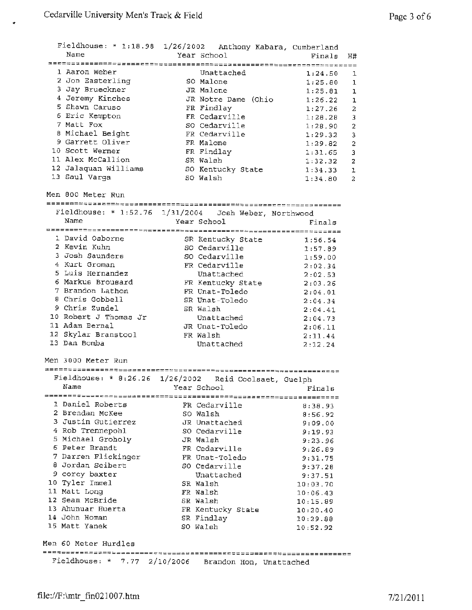$\bullet$ 

| Name                              | Fieldhouse: * 1:18.98 1/26/2002 Anthony Kabara, Cumberland<br>Year School | Finals<br>H#         |                         |
|-----------------------------------|---------------------------------------------------------------------------|----------------------|-------------------------|
| 1 Aaron Weber<br>2 Jon Easterling | Unattached<br>SO Malone                                                   | 1:24.50<br>1:25.80   | 1<br>1                  |
| 3 Jay Brueckner                   | JR Malone                                                                 | 1:25.81              | ı                       |
| 4 Jeremy Kinches                  | JR Notre Dame (Ohio                                                       | 1:26.22              | ı                       |
| 5 Shawn Caruso                    | FR Findlay                                                                | 1:27.26              | 2                       |
| 6 Eric Kempton                    | FR Cedarville                                                             | 1:28.28              | 3                       |
| 7 Matt Fox                        | SO Cedarville                                                             | 1:28.90              | $\overline{a}$          |
| 8 Michael Beight                  | FR Cedarville                                                             | 1:29.32              | 3                       |
| 9 Garrett Oliver                  | FR Malone                                                                 | 1:29.82              | $\overline{\mathbf{c}}$ |
| 10 Scott Werner                   | FR Findlay                                                                | 1:31.65              | 3                       |
| 11 Alex McCallion                 | SR Walsh                                                                  | 1:32.32              | $\overline{a}$          |
| 12 Jalaquan Williams              | SO Kentucky State                                                         | 1:34.33              | $\mathbf{1}$            |
| 13 Saul Varga                     | SO Walsh                                                                  | 1:34.80              | $\mathbf{z}$            |
| Men 800 Meter Run                 |                                                                           |                      |                         |
|                                   | Fieldhouse: * 1:52.76 1/31/2004 Josh Weber, Northwood                     |                      |                         |
| Name                              | Year School                                                               | Finals               |                         |
|                                   |                                                                           |                      |                         |
| 1 David Osborne                   | SR Kentucky State                                                         | 1:56.54              |                         |
| 2 Kevin Kuhn                      | SO Cedarville                                                             | 1:57.89              |                         |
| 3 Josh Saunders                   | SO Cedarville                                                             | 1:59.00              |                         |
| 4 Kurt Groman                     | FR Cedarville                                                             | 2:02.34              |                         |
| 5 Luis Hernandez                  | Unattached                                                                | 2:02.53              |                         |
| 6 Markus Brousard                 | FR Kentucky State                                                         | 2:03.26              |                         |
| 7 Brandon Lathon                  | FR Unat-Toledo                                                            | 2:04.01              |                         |
| 8 Chris Gobbell                   | SR Unat-Toledo                                                            | 2:04.34              |                         |
| 9 Chris Zundel                    | SR Walsh                                                                  | 2:04.41              |                         |
| 10 Robert J Thomas Jr             | Unattached                                                                | 2:04.73              |                         |
| 11 Adam Bernal                    | JR Unat-Toledo                                                            | 2:06.11              |                         |
| 12 Skylar Branstool               | FR Walsh                                                                  | 2:11.44              |                         |
| 13 Dan Bomba                      | Unattached                                                                | 2:12.24              |                         |
| Men 3000 Meter Run                |                                                                           |                      |                         |
| Fieldhouse: $* 8:26.26$           |                                                                           |                      |                         |
|                                   | 1/26/2002<br>Reid Coolsaet, Guelph                                        |                      |                         |
| Name                              | Year School                                                               | Finals               |                         |
| 1 Daniel Roberts                  |                                                                           |                      |                         |
| 2 Brendan McKee                   | FR Cedarville                                                             | 8:38.93              |                         |
| 3 Justin Gutierrez                | SO Walsh                                                                  | 8:56.92              |                         |
| 4 Rob Trennepohl                  | JR Unattached                                                             | 9:09.00              |                         |
| 5 Michael Groholy                 | SO Cedarville<br>JR Walsh                                                 | 9:19.93              |                         |
| 6 Peter Brandt                    |                                                                           | 9:23.96              |                         |
| 7 Darren Flickinger               | FR Cedarville                                                             | 9:26.89              |                         |
| 8 Jordan Seibert                  | FR Unat-Toledo<br>SO Cedarville                                           | 9:31.75              |                         |
| 9 corey baxter                    | Unattached                                                                | 9:37.28              |                         |
| 10 Tyler Immel                    | SR Walsh                                                                  | 9:37.51              |                         |
| 11 Matt Long                      |                                                                           | 10:03.70             |                         |
| 12 Sean McBride                   | FR Walsh                                                                  | 10:06.43             |                         |
| 13 Ahunuar Huerta                 | SR Walsh                                                                  | 10:15.89             |                         |
| 14 John Homan                     | FR Kentucky State                                                         | 10:20.40             |                         |
| 15 Matt Yanek                     | SR Findlay<br>SO Walsh                                                    | 10:29.88<br>10:52.92 |                         |
| Men 60 Meter Hurdles              |                                                                           |                      |                         |
|                                   |                                                                           |                      |                         |
|                                   | Fieldhouse: * 7.77 2/10/2006 Brandon Hon, Unattached                      |                      |                         |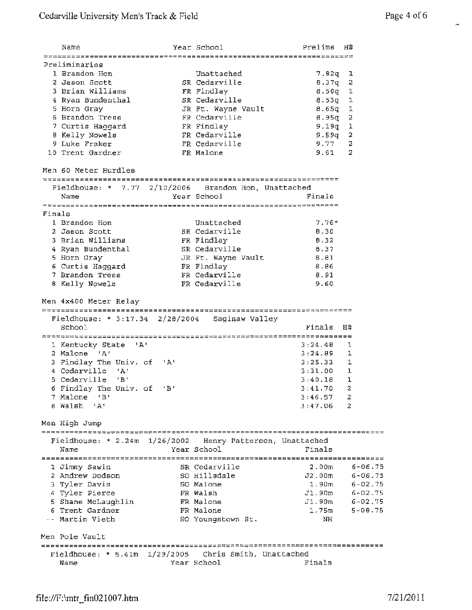Ä

|        | Name                                                      | Year School        | Prelims            | H#                 |
|--------|-----------------------------------------------------------|--------------------|--------------------|--------------------|
|        | Preliminaries                                             |                    |                    |                    |
|        | 1 Brandon Hon                                             | Unattached         | $7.82q$ 1          |                    |
|        | 2 Jason Scott                                             | SR Cedarville      | 8.37q              | 2                  |
|        | 3 Brian Williams                                          | FR Findlay         | 8.50q              | $\mathbf 1$        |
|        | 4 Ryan Bundenthal                                         | SR Cedarville      | $8.53q$ 1          |                    |
|        | 5 Horn Gray                                               | JR Ft. Wayne Vault | $8.65q$ 1          |                    |
|        | 6 Brandon Tress                                           | FR Cedarville      | $8.95q$ 2          |                    |
|        | 7 Curtis Haggard                                          | FR Findlay         |                    |                    |
|        |                                                           | FR Cedarville      | 9.19q 1            |                    |
|        | 8 Kelly Nowels<br>9 Luke Fraker                           |                    | 9.59q              | 2<br>2             |
|        |                                                           | FR Cedarville      | 9.77               |                    |
|        | 10 Trent Gardner                                          | FR Malone          | 9.81               | 2                  |
|        | Men 60 Meter Hurdles                                      |                    |                    |                    |
|        | Fieldhouse: * 7.77 2/10/2006 Brandon Hon, Unattached      |                    |                    |                    |
|        | Name                                                      | Year School        | Finals             |                    |
| Finals |                                                           |                    |                    |                    |
|        | 1 Brandon Hon                                             | Unattached         | $7.76*$            |                    |
|        | 2 Jason Scott                                             | SR Cedarville      | B.30               |                    |
|        | 3 Brian Williams                                          | FR Findlay         | 8.32               |                    |
|        | 4 Ryan Bundenthal                                         | SR Cedarville      | 8.37               |                    |
|        | 5 Horn Gray                                               | JR Ft. Wayne Vault | 8.81               |                    |
|        | 6 Curtis Haggard                                          | FR Findlay         | 8.86               |                    |
|        | 7 Brandon Tress                                           | FR Cedarville      | 8.91               |                    |
|        | 8 Kelly Nowels                                            | FR Cedarville      | 9.60               |                    |
|        |                                                           |                    |                    |                    |
|        | Men 4x400 Meter Relay                                     |                    |                    |                    |
|        | Fieldhouse: * 3:17.34 2/28/2004 Saginaw Valley            |                    |                    |                    |
|        | School                                                    |                    | Finals             | н#                 |
|        |                                                           |                    |                    |                    |
|        | 1 Kentucky State 'A'                                      |                    | 3:24.4B            | ı                  |
|        | 2 Malone 'A'                                              |                    | 3:24.89            | ı                  |
|        | 3 Findlay The Univ. of<br>י בי                            |                    | 3:25.33            | 1                  |
|        | 4 Cedarville 'A'                                          |                    | 3:31.00            | 1                  |
|        | 5 Cedarville 'B'                                          |                    | 3:40.18            | ı                  |
|        | 6 Findlay The Univ. of 'B'                                |                    | 3:41.70 2          |                    |
|        | 7 Malone 'B'                                              |                    | 3:46.57            | 2                  |
|        | 8 Walsh 'A'                                               |                    | $3:47.06$ 2        |                    |
|        | Men High Jump                                             |                    |                    |                    |
|        | Fieldhouse: * 2.24m 1/26/2002 Henry Patterson, Unattached |                    |                    |                    |
|        | Name                                                      | Year School        | Finals             |                    |
|        |                                                           |                    |                    |                    |
|        | 1 Jimmy Sawin                                             | SR Cedarville      | 2.00 <sub>m</sub>  | 6-06.75            |
|        | 2 Andrew Dodson                                           | SO Hillsdale       | J2.00 <sub>m</sub> | 6-06.75            |
|        | 3 Tyler Davis                                             | SO Malone          | 1.90m              | $6 - 02.75$        |
|        | 4 Tyler Pierce                                            | FR Walsh           |                    | $J1.90m$ 6-02.75   |
|        | 5 Shane McLaughlin                                        | FR Malone          |                    | $J1.90m$ $6-02.75$ |
|        | 6 Trent Gardner                                           | FR Malone          | $1.75$ m           | $5 - 08.75$        |
|        | -- Martin Vieth                                           | SO Youngstown St.  | NH                 |                    |
|        | Men Pole Vault                                            |                    |                    |                    |
|        |                                                           |                    |                    |                    |
|        | Fieldhouse: * 5.41m 1/29/2005 Chris Smith, Unattached     |                    |                    |                    |
|        | Name                                                      | Year School        | Finals             |                    |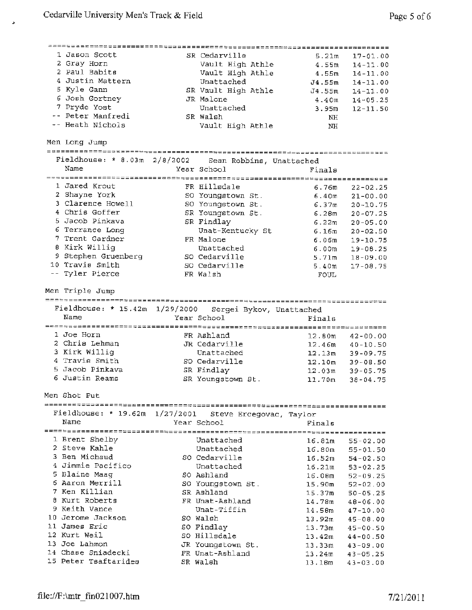1 Jason Scott 2 Gray Horn 2 Paul Babits 4 Justin Mattern <sup>5</sup>Kyle Gann *6* Josh Gortney 7 Pryde Yost Peter Manfredi Heath Nichols Men Long Jump SR Cedarville Vault High Athle Vault High Athle Unattached SR Vault High Athle JR Malone Unattached SR Walsh Vault High Athle <sup>5</sup>.2lm 4.55m 4.55m J4.55m J4.55m 4.40m 3.95m **NH NH**  Fieldhouse: \* 8.03m 2/8/2002 Sean Robbins, Unattached Name Year School Finals 1 Jared Krout **FR** Hillsdale 6.76m 2 Shayne York so Youngstown St. 6.40m 3 Clarence Howell 50 Youngstown St. 6.37m 4 Chris Goffer SR Youngstown St. 6.28m 5 Jacob Pinkava SR Findlay 6 .22m 6 Terrance Long Unat-Kentucky St 6.16m 7 Trent Gardner FR Malone 6.06m 8 Kirk Willig Unattached 6.00m 9 Stephen Gruenberg 50 Cedarville 5.71m 10 Travis Smith So Cedarville 5.40m Tyler Pierce FR Walsh FOUL Men Triple Jump Fieldhouse: \* 15.42m 1/29/2000 *Sergei* Bykov, unattached Name Year School Finals 1 Joe Horn FR **Ashland** 12.80m <sup>2</sup>**Chris** Lehman **JR** Cedarville 12.46m <sup>3</sup>Kirk Willig Unattached **12.13m**  4 Travis Smith So Cedarville 12.10m <sup>5</sup>Jacob Pinkava **SR Findlay** 12. 03m 6 Justin Reams **SR** Youngstown St . 11.70m Men Shot **Put**  17-01.00 14-11.00 14-11.00 14-11.00 14-11.00 14-05.25 12-11.50 22-02.25 21-00.00 20-10.75 20-07.25 20-05.00 20-02.50 19-10.75 19-08.25 18-09.00 17-08.75 42-00.00 40-10.50 39-09.75 39-08.50 39-05.75 38-04.75 ====------========-=============--=======--==~~=-======~-===========------ Fieldhouse: \* 19.62m 1/27/2001 Steve Ercegovac, Taylor Name Year School Finals *====---=======:==~--======~;;===============--============================*  1 Brent Shelby Unattached 16.81m 55-02.00 <sup>2</sup>Steve **Kahle** Unattached 16.S0m 55-01.50 <sup>3</sup>Ben Michaud so Cedarville 16.52m 54-02.50 4 Jimmie Pacifico Chattached 16.21m 53-02.25 5 Blaine Maag so Ashland 16.0Bm 52-09.25 6 Aaron Merrill so Youngstown St . 15.90m 52-02.00 <sup>7</sup>**Ken** Killian **SR Ashland** 15.37m 50-05.25 8 Kurt Roberts FR Unat-Ashland 14.78m 48-06.00 <sup>9</sup>**Keith** Vance Unat-Tiffin 14.58m 47-10.00 10 Jerome Jackson so Walsh 13.92m 45-08.00 11 James **Eric** so **Findlay** 13.73m 45-00.50 12 Kurt Weil so **Hillsdale** 13. 42m 44-00.50 13 **Joe** Lahmon **JR** Youngstown St. 13.33m 43-09.00 14 Chase Sniadecki FR Unat-Ashland 13.24m 43-05.25 15 Peter Tsaftarides SR Walsh 13.18m 43-03.00